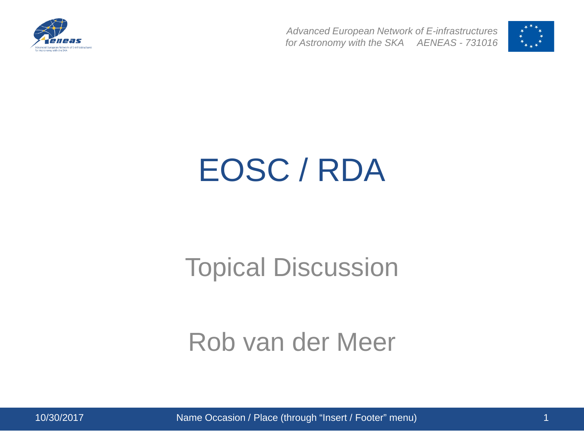



### EOSC / RDA

#### Topical Discussion

#### Rob van der Meer

10/30/2017 Name Occasion / Place (through "Insert / Footer" menu) 1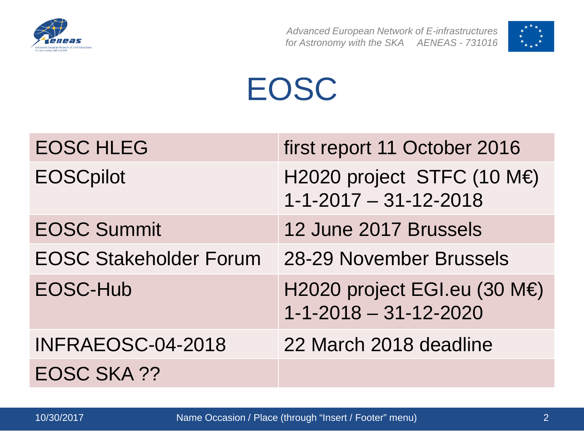



## EOSC

| <b>EOSC HLEG</b>              | first report 11 October 2016                                    |
|-------------------------------|-----------------------------------------------------------------|
| <b>EOSCpilot</b>              | H2020 project STFC (10 M€)<br>$1 - 1 - 2017 - 31 - 12 - 2018$   |
| <b>EOSC Summit</b>            | 12 June 2017 Brussels                                           |
| <b>EOSC Stakeholder Forum</b> | 28-29 November Brussels                                         |
| EOSC-Hub                      | H2020 project EGI.eu (30 M€)<br>$1 - 1 - 2018 - 31 - 12 - 2020$ |
| INFRAEOSC-04-2018             | 22 March 2018 deadline                                          |
| <b>EOSC SKA ??</b>            |                                                                 |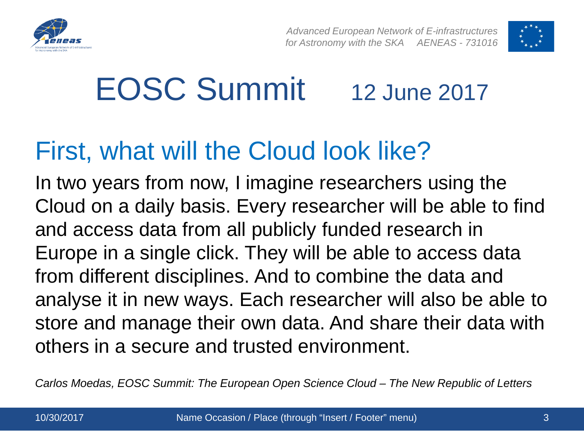



## EOSC Summit 12 June 2017

#### First, what will the Cloud look like?

In two years from now, I imagine researchers using the Cloud on a daily basis. Every researcher will be able to find and access data from all publicly funded research in Europe in a single click. They will be able to access data from different disciplines. And to combine the data and analyse it in new ways. Each researcher will also be able to store and manage their own data. And share their data with others in a secure and trusted environment.

*Carlos Moedas, EOSC Summit: The European Open Science Cloud – The New Republic of Letters*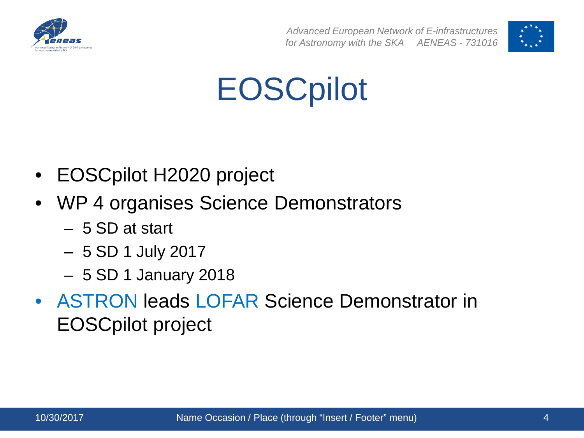



### **EOSCpilot**

- EOSCpilot H2020 project
- WP 4 organises Science Demonstrators
	- 5 SD at start
	- 5 SD 1 July 2017
	- 5 SD 1 January 2018
- ASTRON leads LOFAR Science Demonstrator in EOSCpilot project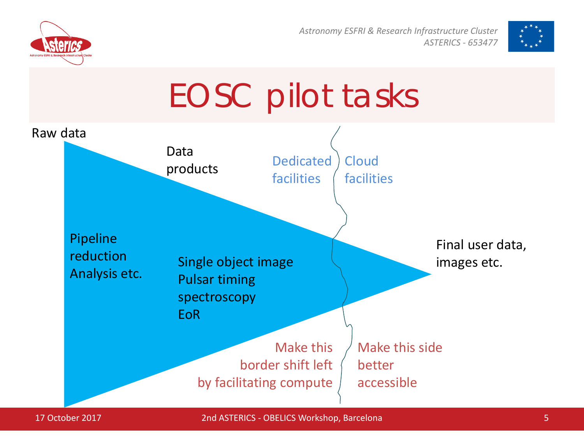

*Astronomy ESFRI & Research Infrastructure Cluster ASTERICS - 653477*





17 October 2017 2nd ASTERICS - OBELICS Workshop, Barcelona 5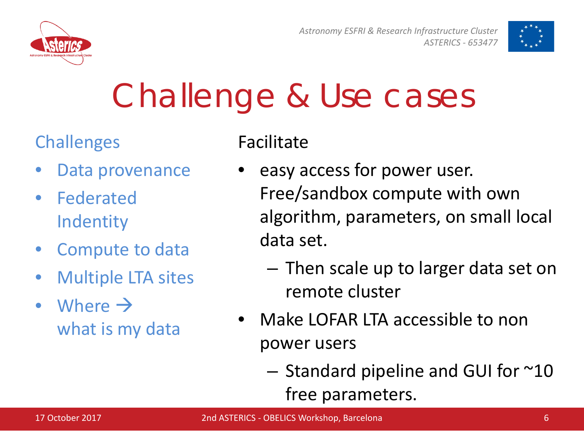

*Astronomy ESFRI & Research Infrastructure Cluster ASTERICS - 653477*



## Challenge & Use cases

#### **Challenges**

- Data provenance
- Federated Indentity
- Compute to data
- Multiple LTA sites
- Where  $\rightarrow$ what is my data

Facilitate

- easy access for power user. Free/sandbox compute with own algorithm, parameters, on small local data set.
	- Then scale up to larger data set on remote cluster
- Make LOFAR LTA accessible to non power users
	- Standard pipeline and GUI for ~10 free parameters.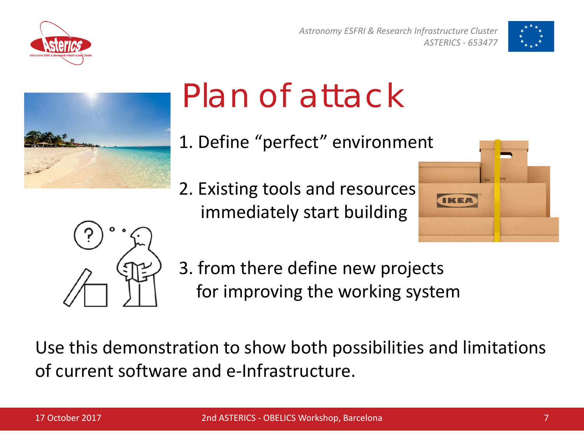

*Astronomy ESFRI & Research Infrastructure Cluster ASTERICS - 653477*





# Plan of attack

- 1. Define "perfect" environment
- 2. Existing tools and resources immediately start building





3. from there define new projects for improving the working system

Use this demonstration to show both possibilities and limitations of current software and e-Infrastructure.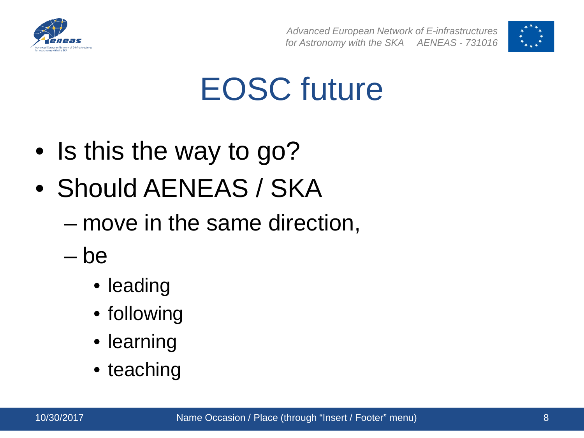



#### EOSC future

- Is this the way to go?
- Should AENEAS / SKA
	- move in the same direction,
	- be
		- leading
		- following
		- learning
		- teaching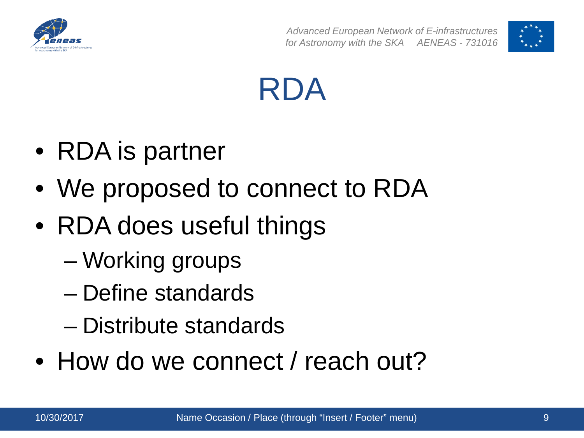





- RDA is partner
- We proposed to connect to RDA
- RDA does useful things
	- Working groups
	- Define standards
	- Distribute standards
- How do we connect / reach out?